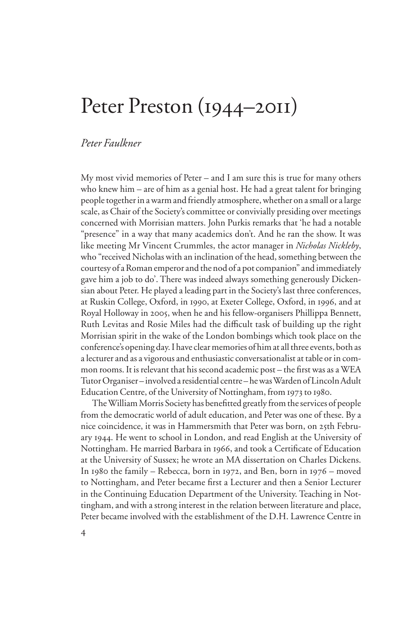## Peter Preston (1944–2011)

## *Peter Faulkner*

My most vivid memories of Peter – and I am sure this is true for many others who knew him – are of him as a genial host. He had a great talent for bringing people together in a warm and friendly atmosphere, whether on a small or a large scale, as Chair of the Society's committee or convivially presiding over meetings concerned with Morrisian matters. John Purkis remarks that 'he had a notable "presence" in a way that many academics don't. And he ran the show. It was like meeting Mr Vincent Crummles, the actor manager in *Nicholas Nickleby*, who "received Nicholas with an inclination of the head, something between the courtesy of a Roman emperor and the nod of a pot companion" and immediately gave him a job to do'. There was indeed always something generously Dickensian about Peter. He played a leading part in the Society's last three conferences, at Ruskin College, Oxford, in 1990, at Exeter College, Oxford, in 1996, and at Royal Holloway in 2005, when he and his fellow-organisers Phillippa Bennett, Ruth Levitas and Rosie Miles had the difficult task of building up the right Morrisian spirit in the wake of the London bombings which took place on the conference's opening day. I have clear memories of him at all three events, both as a lecturer and as a vigorous and enthusiastic conversationalist at table or in common rooms. It is relevant that his second academic post – the first was as a WEA Tutor Organiser – involved a residential centre – he was Warden of Lincoln Adult Education Centre, of the University of Nottingham, from 1973 to 1980.

The William Morris Society has benefitted greatly from the services of people from the democratic world of adult education, and Peter was one of these. By a nice coincidence, it was in Hammersmith that Peter was born, on 25th February 1944. He went to school in London, and read English at the University of Nottingham. He married Barbara in 1966, and took a Certificate of Education at the University of Sussex; he wrote an MA dissertation on Charles Dickens. In 1980 the family – Rebecca, born in 1972, and Ben, born in 1976 – moved to Nottingham, and Peter became first a Lecturer and then a Senior Lecturer in the Continuing Education Department of the University. Teaching in Nottingham, and with a strong interest in the relation between literature and place, Peter became involved with the establishment of the D.H. Lawrence Centre in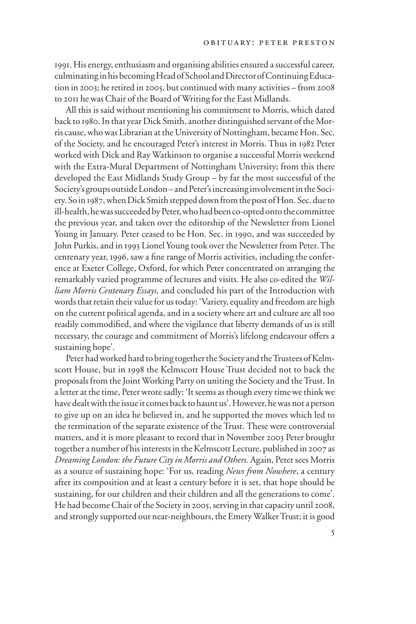1991. His energy, enthusiasm and organising abilities ensured a successful career, culminating in his becoming Head of School and Director of Continuing Education in 2003; he retired in 2005, but continued with many activities – from 2008 to 2011 he was Chair of the Board of Writing for the East Midlands.

All this is said without mentioning his commitment to Morris, which dated back to 1980. In that year Dick Smith, another distinguished servant of the Morris cause, who was Librarian at the University of Nottingham, became Hon. Sec. of the Society, and he encouraged Peter's interest in Morris. Thus in 1982 Peter worked with Dick and Ray Watkinson to organise a successful Morris weekend with the Extra-Mural Department of Nottingham University; from this there developed the East Midlands Study Group – by far the most successful of the Society's groups outside London – and Peter's increasing involvement in the Society. So in 1987, when Dick Smith stepped down from the post of Hon. Sec. due to ill-health, he was succeeded by Peter, who had been co-opted onto the committee the previous year, and taken over the editorship of the Newsletter from Lionel Young in January. Peter ceased to be Hon. Sec. in 1990, and was succeeded by John Purkis, and in 1993 Lionel Young took over the Newsletter from Peter. The centenary year, 1996, saw a fine range of Morris activities, including the conference at Exeter College, Oxford, for which Peter concentrated on arranging the remarkably varied programme of lectures and visits. He also co-edited the *William Morris Centenary Essays,* and concluded his part of the Introduction with words that retain their value for us today: 'Variety, equality and freedom are high on the current political agenda, and in a society where art and culture are all too readily commodified, and where the vigilance that liberty demands of us is still necessary, the courage and commitment of Morris's lifelong endeavour offers a sustaining hope'.

Peter had worked hard to bring together the Society and the Trustees of Kelmscott House, but in 1998 the Kelmscott House Trust decided not to back the proposals from the Joint Working Party on uniting the Society and the Trust. In a letter at the time, Peter wrote sadly: 'It seems as though every time we think we have dealt with the issue it comes back to haunt us'. However, he was not a person to give up on an idea he believed in, and he supported the moves which led to the termination of the separate existence of the Trust. These were controversial matters, and it is more pleasant to record that in November 2003 Peter brought together a number of his interests in the Kelmscott Lecture, published in 2007 as *Dreaming London: the Future City in Morris and Others.* Again, Peter sees Morris as a source of sustaining hope: 'For us, reading *News from Nowhere*, a century after its composition and at least a century before it is set, that hope should be sustaining, for our children and their children and all the generations to come'. He had become Chair of the Society in 2005, serving in that capacity until 2008, and strongly supported our near-neighbours, the Emery Walker Trust; it is good